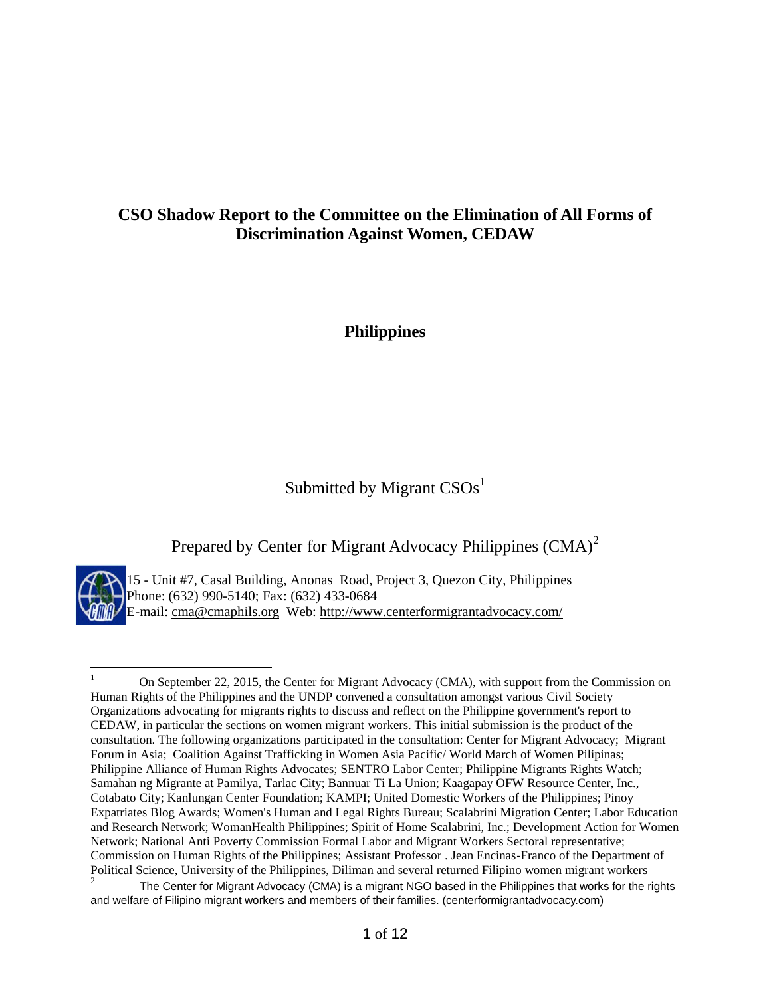## **CSO Shadow Report to the Committee on the Elimination of All Forms of Discrimination Against Women, CEDAW**

**Philippines**

# Submitted by Migrant  $CSOs<sup>1</sup>$

Prepared by Center for Migrant Advocacy Philippines (CMA)<sup>2</sup>



 $\overline{a}$ 

15 - Unit #7, Casal Building, Anonas Road, Project 3, Quezon City, Philippines Phone: (632) 990-5140; Fax: (632) 433-0684 E-mail: [cma@cmaphils.org](mailto:cma@cmaphils.org) Web: [http://www.centerformigrantadvocacy.com/](http://www.pinoy-abroad.net/lungga/index.shtml?apc=----1-)

<sup>1</sup> On September 22, 2015, the Center for Migrant Advocacy (CMA), with support from the Commission on Human Rights of the Philippines and the UNDP convened a consultation amongst various Civil Society Organizations advocating for migrants rights to discuss and reflect on the Philippine government's report to CEDAW, in particular the sections on women migrant workers. This initial submission is the product of the consultation. The following organizations participated in the consultation: Center for Migrant Advocacy; Migrant Forum in Asia; Coalition Against Trafficking in Women Asia Pacific/ World March of Women Pilipinas; Philippine Alliance of Human Rights Advocates; SENTRO Labor Center; Philippine Migrants Rights Watch; Samahan ng Migrante at Pamilya, Tarlac City; Bannuar Ti La Union; Kaagapay OFW Resource Center, Inc., Cotabato City; Kanlungan Center Foundation; KAMPI; United Domestic Workers of the Philippines; Pinoy Expatriates Blog Awards; Women's Human and Legal Rights Bureau; Scalabrini Migration Center; Labor Education and Research Network; WomanHealth Philippines; Spirit of Home Scalabrini, Inc.; Development Action for Women Network; National Anti Poverty Commission Formal Labor and Migrant Workers Sectoral representative; Commission on Human Rights of the Philippines; Assistant Professor . Jean Encinas-Franco of the Department of Political Science, University of the Philippines, Diliman and several returned Filipino women migrant workers

<sup>2</sup> The Center for Migrant Advocacy (CMA) is a migrant NGO based in the Philippines that works for the rights and welfare of Filipino migrant workers and members of their families. (centerformigrantadvocacy.com)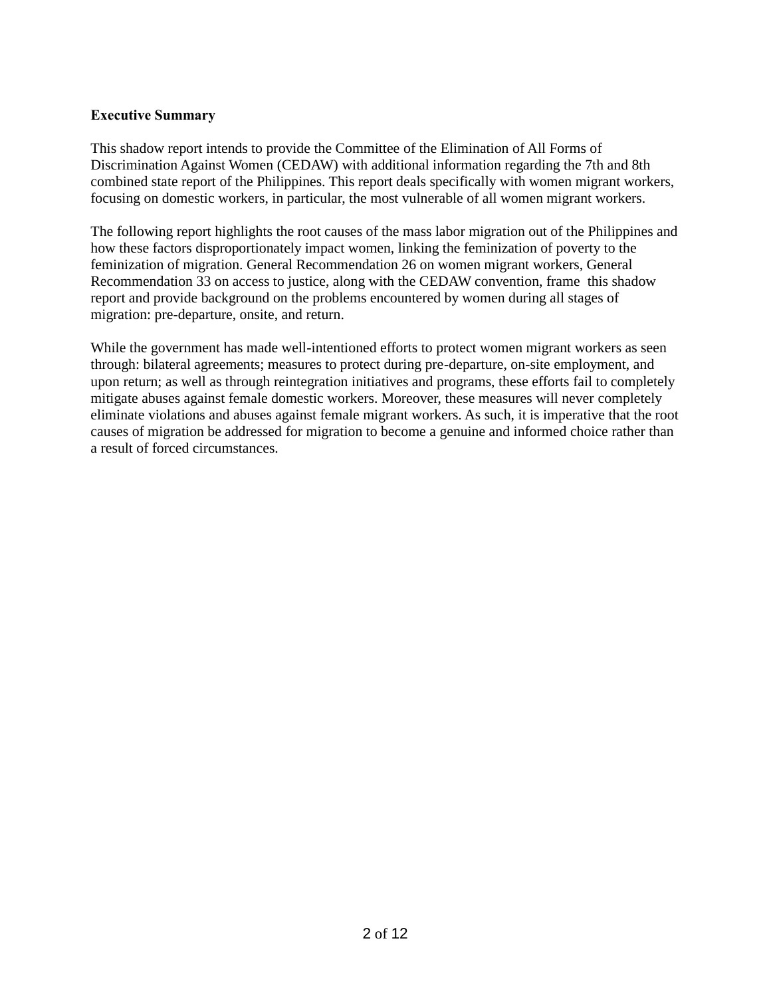## **Executive Summary**

This shadow report intends to provide the Committee of the Elimination of All Forms of Discrimination Against Women (CEDAW) with additional information regarding the 7th and 8th combined state report of the Philippines. This report deals specifically with women migrant workers, focusing on domestic workers, in particular, the most vulnerable of all women migrant workers.

The following report highlights the root causes of the mass labor migration out of the Philippines and how these factors disproportionately impact women, linking the feminization of poverty to the feminization of migration. General Recommendation 26 on women migrant workers, General Recommendation 33 on access to justice, along with the CEDAW convention, frame this shadow report and provide background on the problems encountered by women during all stages of migration: pre-departure, onsite, and return.

While the government has made well-intentioned efforts to protect women migrant workers as seen through: bilateral agreements; measures to protect during pre-departure, on-site employment, and upon return; as well as through reintegration initiatives and programs, these efforts fail to completely mitigate abuses against female domestic workers. Moreover, these measures will never completely eliminate violations and abuses against female migrant workers. As such, it is imperative that the root causes of migration be addressed for migration to become a genuine and informed choice rather than a result of forced circumstances.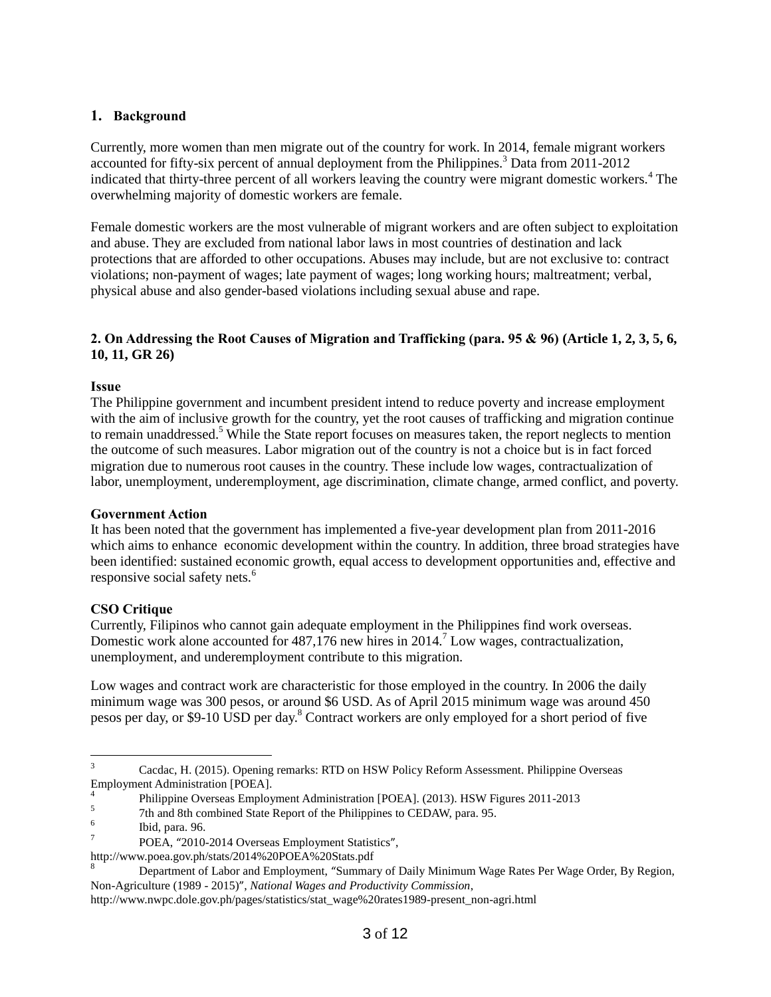#### **1. Background**

Currently, more women than men migrate out of the country for work. In 2014, female migrant workers accounted for fifty-six percent of annual deployment from the Philippines.<sup>3</sup> Data from 2011-2012 indicated that thirty-three percent of all workers leaving the country were migrant domestic workers.<sup>4</sup> The overwhelming majority of domestic workers are female.

Female domestic workers are the most vulnerable of migrant workers and are often subject to exploitation and abuse. They are excluded from national labor laws in most countries of destination and lack protections that are afforded to other occupations. Abuses may include, but are not exclusive to: contract violations; non-payment of wages; late payment of wages; long working hours; maltreatment; verbal, physical abuse and also gender-based violations including sexual abuse and rape.

#### **2. On Addressing the Root Causes of Migration and Trafficking (para. 95 & 96) (Article 1, 2, 3, 5, 6, 10, 11, GR 26)**

#### **Issue**

The Philippine government and incumbent president intend to reduce poverty and increase employment with the aim of inclusive growth for the country, yet the root causes of trafficking and migration continue to remain unaddressed.<sup>5</sup> While the State report focuses on measures taken, the report neglects to mention the outcome of such measures. Labor migration out of the country is not a choice but is in fact forced migration due to numerous root causes in the country. These include low wages, contractualization of labor, unemployment, underemployment, age discrimination, climate change, armed conflict, and poverty.

#### **Government Action**

It has been noted that the government has implemented a five-year development plan from 2011-2016 which aims to enhance economic development within the country. In addition, three broad strategies have been identified: sustained economic growth, equal access to development opportunities and, effective and responsive social safety nets.<sup>6</sup>

#### **CSO Critique**

Currently, Filipinos who cannot gain adequate employment in the Philippines find work overseas. Domestic work alone accounted for  $487,176$  new hires in  $2014<sup>7</sup>$  Low wages, contractualization, unemployment, and underemployment contribute to this migration.

Low wages and contract work are characteristic for those employed in the country. In 2006 the daily minimum wage was 300 pesos, or around \$6 USD. As of April 2015 minimum wage was around 450 pesos per day, or \$9-10 USD per day.<sup>8</sup> Contract workers are only employed for a short period of five

 $\overline{3}$ <sup>3</sup> Cacdac, H. (2015). Opening remarks: RTD on HSW Policy Reform Assessment. Philippine Overseas Employment Administration [POEA].

<sup>4</sup> Philippine Overseas Employment Administration [POEA]. (2013). HSW Figures 2011-2013

<sup>5</sup> 7th and 8th combined State Report of the Philippines to CEDAW, para. 95.

<sup>6</sup> Ibid, para. 96.

<sup>7</sup> POEA, "2010-2014 Overseas Employment Statistics",

[http://www.poea.gov.ph/stats/2014%20POEA%20Stats.pdf](http://www.poea.gov.ph/stats/2014%20poea%20stats.pdf)

<sup>8</sup> Department of Labor and Employment, "Summary of Daily Minimum Wage Rates Per Wage Order, By Region, Non-Agriculture (1989 - 2015)", *National Wages and Productivity Commission*,

[http://www.nwpc.dole.gov.ph/pages/statistics/stat\\_wage%20rates1989-present\\_non-agri.html](http://www.nwpc.dole.gov.ph/pages/statistics/stat_wage%20rates1989-present_non-agri.html)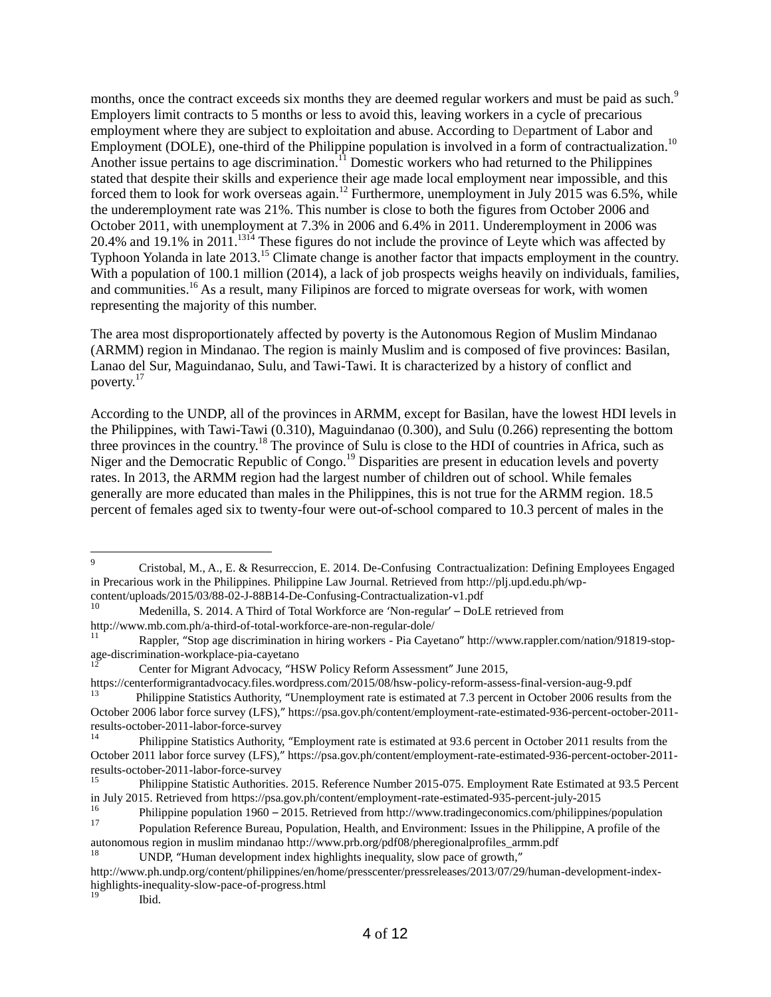months, once the contract exceeds six months they are deemed regular workers and must be paid as such.<sup>9</sup> Employers limit contracts to 5 months or less to avoid this, leaving workers in a cycle of precarious employment where they are subject to exploitation and abuse. According to Department of Labor and Employment (DOLE), one-third of the Philippine population is involved in a form of contractualization.<sup>10</sup> Another issue pertains to age discrimination.<sup>11</sup> Domestic workers who had returned to the Philippines stated that despite their skills and experience their age made local employment near impossible, and this forced them to look for work overseas again.<sup>12</sup> Furthermore, unemployment in July 2015 was 6.5%, while the underemployment rate was 21%. This number is close to both the figures from October 2006 and October 2011, with unemployment at 7.3% in 2006 and 6.4% in 2011. Underemployment in 2006 was 20.4% and 19.1% in 2011.<sup>1314</sup> These figures do not include the province of Leyte which was affected by Typhoon Yolanda in late 2013.<sup>15</sup> Climate change is another factor that impacts employment in the country. With a population of 100.1 million (2014), a lack of job prospects weighs heavily on individuals, families, and communities.<sup>16</sup> As a result, many Filipinos are forced to migrate overseas for work, with women representing the majority of this number.

The area most disproportionately affected by poverty is the Autonomous Region of Muslim Mindanao (ARMM) region in Mindanao. The region is mainly Muslim and is composed of five provinces: Basilan, Lanao del Sur, Maguindanao, Sulu, and Tawi-Tawi. It is characterized by a history of conflict and poverty.<sup>17</sup>

According to the UNDP, all of the provinces in ARMM, except for Basilan, have the lowest HDI levels in the Philippines, with Tawi-Tawi (0.310), Maguindanao (0.300), and Sulu (0.266) representing the bottom three provinces in the country.<sup>18</sup> The province of Sulu is close to the HDI of countries in Africa, such as Niger and the Democratic Republic of Congo.<sup>19</sup> Disparities are present in education levels and poverty rates. In 2013, the ARMM region had the largest number of children out of school. While females generally are more educated than males in the Philippines, this is not true for the ARMM region. 18.5 percent of females aged six to twenty-four were out-of-school compared to 10.3 percent of males in the

<https://centerformigrantadvocacy.files.wordpress.com/2015/08/hsw-policy-reform-assess-final-version-aug-9.pdf> <sup>13</sup> Philippine Statistics Authority, "Unemployment rate is estimated at 7.3 percent in October 2006 results from the

 $\overline{a}$ 

<sup>9</sup> Cristobal, M., A., E. & Resurreccion, E. 2014. De-Confusing Contractualization: Defining Employees Engaged in Precarious work in the Philippines. Philippine Law Journal. Retrieved from [http://plj.upd.edu.ph/wp](http://plj.upd.edu.ph/wp-content/uploads/2015/03/88-02-j-88b14-de-confusing-contractualization-v1.pdf)[content/uploads/2015/03/88-02-J-88B14-De-Confusing-Contractualization-v1.pdf](http://plj.upd.edu.ph/wp-content/uploads/2015/03/88-02-j-88b14-de-confusing-contractualization-v1.pdf)

Medenilla, S. 2014. A Third of Total Workforce are 'Non-regular' - DoLE retrieved from <http://www.mb.com.ph/a-third-of-total-workforce-are-non-regular-dole/>

<sup>11</sup> Rappler, "Stop age discrimination in hiring workers - Pia Cayetano" [http://www.rappler.com/nation/91819-stop](http://www.rappler.com/nation/91819-stop-age-discrimination-workplace-pia-cayetano)[age-discrimination-workplace-pia-cayetano](http://www.rappler.com/nation/91819-stop-age-discrimination-workplace-pia-cayetano)

<sup>12</sup> Center for Migrant Advocacy, "HSW Policy Reform Assessment" June 2015,

October 2006 labor force survey (LFS)," [https://psa.gov.ph/content/employment-rate-estimated-936-percent-october-2011](https://psa.gov.ph/content/employment-rate-estimated-936-percent-october-2011-results-october-2011-labor-force-survey) [results-october-2011-labor-force-survey](https://psa.gov.ph/content/employment-rate-estimated-936-percent-october-2011-results-october-2011-labor-force-survey)<br> $\frac{14}{14}$ 

<sup>14</sup> Philippine Statistics Authority, "Employment rate is estimated at 93.6 percent in October 2011 results from the October 2011 labor force survey (LFS)," [https://psa.gov.ph/content/employment-rate-estimated-936-percent-october-2011](https://psa.gov.ph/content/employment-rate-estimated-936-percent-october-2011-results-october-2011-labor-force-survey) [results-october-2011-labor-force-survey](https://psa.gov.ph/content/employment-rate-estimated-936-percent-october-2011-results-october-2011-labor-force-survey)

<sup>15</sup> Philippine Statistic Authorities. 2015. Reference Number 2015-075. Employment Rate Estimated at 93.5 Percent in July 2015. Retrieved from<https://psa.gov.ph/content/employment-rate-estimated-935-percent-july-2015>

<sup>&</sup>lt;sup>16</sup> Philippine population 1960 – 2015. Retrieved from<http://www.tradingeconomics.com/philippines/population>  $\Gamma$ 

<sup>17</sup> Population Reference Bureau, Population, Health, and Environment: Issues in the Philippine, A profile of the autonomous region in muslim mindanao [http://www.prb.org/pdf08/pheregionalprofiles\\_armm.pdf](http://www.prb.org/pdf08/pheregionalprofiles_armm.pdf)

UNDP, "Human development index highlights inequality, slow pace of growth,"

[http://www.ph.undp.org/content/philippines/en/home/presscenter/pressreleases/2013/07/29/human-development-index](http://www.ph.undp.org/content/philippines/en/home/presscenter/pressreleases/2013/07/29/human-development-index-highlights-inequality-slow-pace-of-progress.html)[highlights-inequality-slow-pace-of-progress.html](http://www.ph.undp.org/content/philippines/en/home/presscenter/pressreleases/2013/07/29/human-development-index-highlights-inequality-slow-pace-of-progress.html)

Ibid.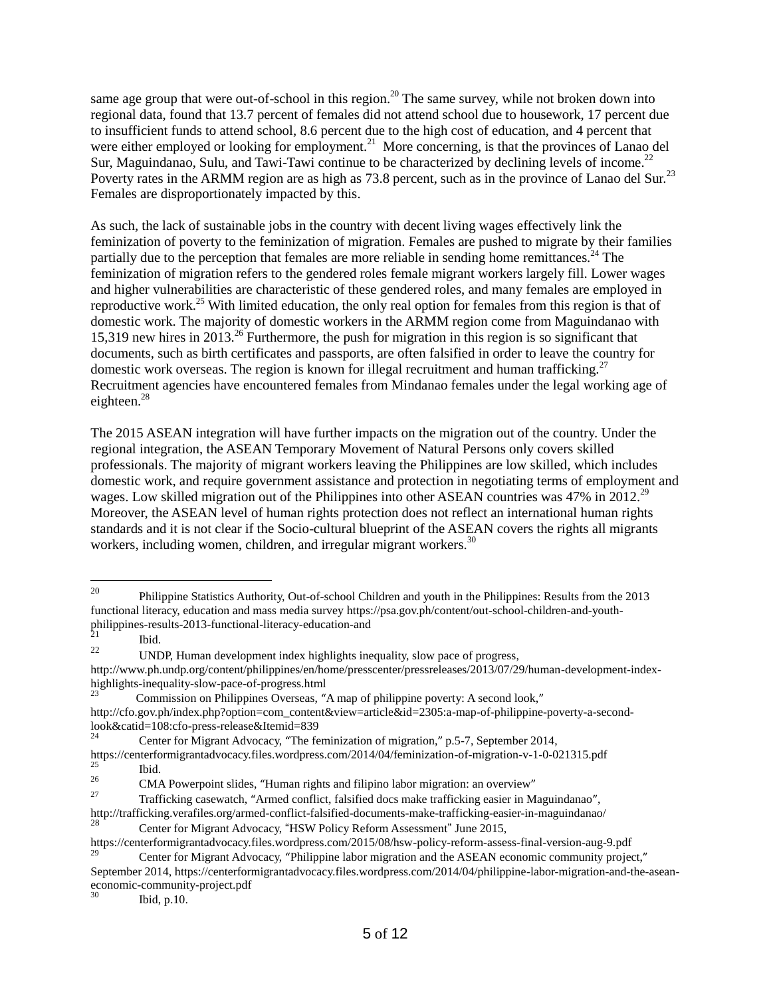same age group that were out-of-school in this region.<sup>20</sup> The same survey, while not broken down into regional data, found that 13.7 percent of females did not attend school due to housework, 17 percent due to insufficient funds to attend school, 8.6 percent due to the high cost of education, and 4 percent that were either employed or looking for employment.<sup>21</sup> More concerning, is that the provinces of Lanao del Sur, Maguindanao, Sulu, and Tawi-Tawi continue to be characterized by declining levels of income.<sup>22</sup> Poverty rates in the ARMM region are as high as 73.8 percent, such as in the province of Lanao del Sur.<sup>23</sup> Females are disproportionately impacted by this.

As such, the lack of sustainable jobs in the country with decent living wages effectively link the feminization of poverty to the feminization of migration. Females are pushed to migrate by their families partially due to the perception that females are more reliable in sending home remittances.<sup>24</sup> The feminization of migration refers to the gendered roles female migrant workers largely fill. Lower wages and higher vulnerabilities are characteristic of these gendered roles, and many females are employed in reproductive work.<sup>25</sup> With limited education, the only real option for females from this region is that of domestic work. The majority of domestic workers in the ARMM region come from Maguindanao with 15,319 new hires in 2013.<sup>26</sup> Furthermore, the push for migration in this region is so significant that documents, such as birth certificates and passports, are often falsified in order to leave the country for domestic work overseas. The region is known for illegal recruitment and human trafficking.<sup>27</sup> Recruitment agencies have encountered females from Mindanao females under the legal working age of eighteen.<sup>28</sup>

The 2015 ASEAN integration will have further impacts on the migration out of the country. Under the regional integration, the ASEAN Temporary Movement of Natural Persons only covers skilled professionals. The majority of migrant workers leaving the Philippines are low skilled, which includes domestic work, and require government assistance and protection in negotiating terms of employment and wages. Low skilled migration out of the Philippines into other ASEAN countries was  $47\%$  in 2012.<sup>29</sup> Moreover, the ASEAN level of human rights protection does not reflect an international human rights standards and it is not clear if the Socio-cultural blueprint of the ASEAN covers the rights all migrants workers, including women, children, and irregular migrant workers.<sup>30</sup>

Commission on Philippines Overseas, "A map of philippine poverty: A second look," [http://cfo.gov.ph/index.php?option=com\\_content&view=article&id=2305:a-map-of-philippine-poverty-a-second](http://cfo.gov.ph/index.php?option=com_content&view=article&id=2305:a-map-of-philippine-poverty-a-second-look&catid=108:cfo-press-release&itemid=839)[look&catid=108:cfo-press-release&Itemid=839](http://cfo.gov.ph/index.php?option=com_content&view=article&id=2305:a-map-of-philippine-poverty-a-second-look&catid=108:cfo-press-release&itemid=839)

Ibid, p.10.

 $20\,$ <sup>20</sup> Philippine Statistics Authority, Out-of-school Children and youth in the Philippines: Results from the 2013 functional literacy, education and mass media surve[y https://psa.gov.ph/content/out-school-children-and-youth](https://psa.gov.ph/content/out-school-children-and-youth-philippines-results-2013-functional-literacy-education-and)[philippines-results-2013-functional-literacy-education-and](https://psa.gov.ph/content/out-school-children-and-youth-philippines-results-2013-functional-literacy-education-and)

 $21$  Ibid.

<sup>22</sup> UNDP, Human development index highlights inequality, slow pace of progress, [http://www.ph.undp.org/content/philippines/en/home/presscenter/pressreleases/2013/07/29/human-development-index](http://www.ph.undp.org/content/philippines/en/home/presscenter/pressreleases/2013/07/29/human-development-index-highlights-inequality-slow-pace-of-progress.html)[highlights-inequality-slow-pace-of-progress.html](http://www.ph.undp.org/content/philippines/en/home/presscenter/pressreleases/2013/07/29/human-development-index-highlights-inequality-slow-pace-of-progress.html)<br>
<sup>23</sup>

<sup>24</sup> Center for Migrant Advocacy, "The feminization of migration," p.5-7, September 2014,

<https://centerformigrantadvocacy.files.wordpress.com/2014/04/feminization-of-migration-v-1-0-021315.pdf>  $\frac{25}{26}$  Ibid.

<sup>&</sup>lt;sup>26</sup> CMA Powerpoint slides, "Human rights and filipino labor migration: an overview"<br><sup>27</sup> Terfinishes account in the mode coefficial descends to filipine costs in M

<sup>27</sup> Trafficking casewatch, "Armed conflict, falsified docs make trafficking easier in Maguindanao", <http://trafficking.verafiles.org/armed-conflict-falsified-documents-make-trafficking-easier-in-maguindanao/>

Center for Migrant Advocacy, "HSW Policy Reform Assessment" June 2015,

<https://centerformigrantadvocacy.files.wordpress.com/2015/08/hsw-policy-reform-assess-final-version-aug-9.pdf>

<sup>29</sup> Center for Migrant Advocacy, "Philippine labor migration and the ASEAN economic community project," September 2014[, https://centerformigrantadvocacy.files.wordpress.com/2014/04/philippine-labor-migration-and-the-asean](https://centerformigrantadvocacy.files.wordpress.com/2014/04/philippine-labor-migration-and-the-asean-economic-community-project.pdf)[economic-community-project.pdf](https://centerformigrantadvocacy.files.wordpress.com/2014/04/philippine-labor-migration-and-the-asean-economic-community-project.pdf)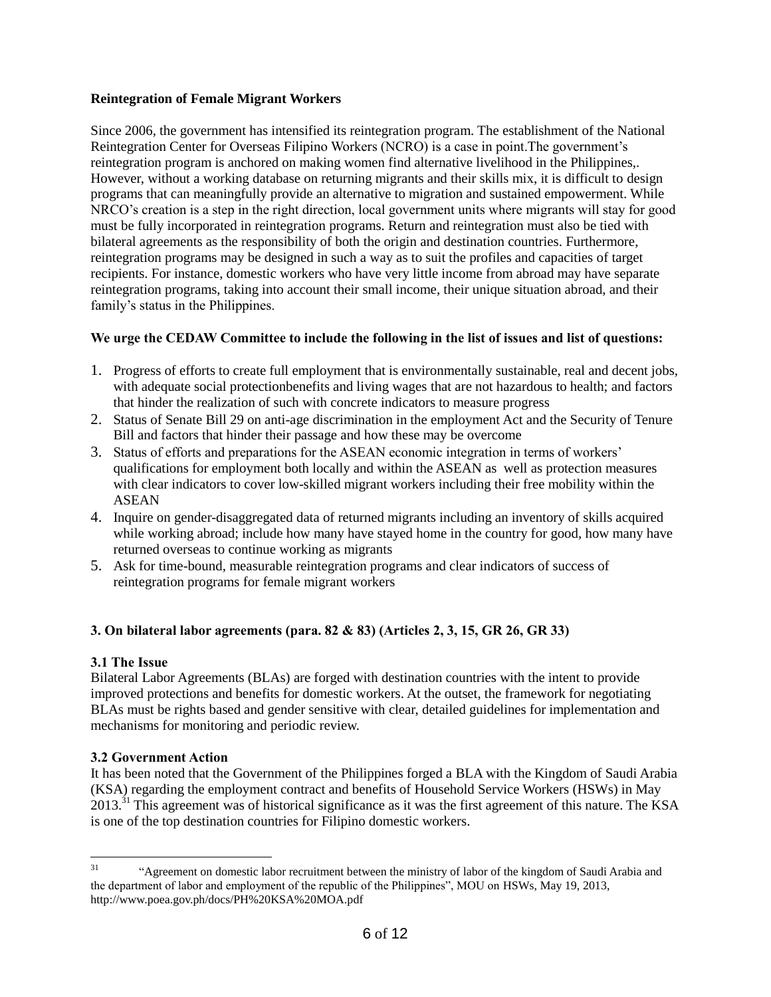## **Reintegration of Female Migrant Workers**

Since 2006, the government has intensified its reintegration program. The establishment of the National Reintegration Center for Overseas Filipino Workers (NCRO) is a case in point.The government's reintegration program is anchored on making women find alternative livelihood in the Philippines,. However, without a working database on returning migrants and their skills mix, it is difficult to design programs that can meaningfully provide an alternative to migration and sustained empowerment. While NRCO's creation is a step in the right direction, local government units where migrants will stay for good must be fully incorporated in reintegration programs. Return and reintegration must also be tied with bilateral agreements as the responsibility of both the origin and destination countries. Furthermore, reintegration programs may be designed in such a way as to suit the profiles and capacities of target recipients. For instance, domestic workers who have very little income from abroad may have separate reintegration programs, taking into account their small income, their unique situation abroad, and their family's status in the Philippines.

## **We urge the CEDAW Committee to include the following in the list of issues and list of questions:**

- 1. Progress of efforts to create full employment that is environmentally sustainable, real and decent jobs, with adequate social protectionbenefits and living wages that are not hazardous to health; and factors that hinder the realization of such with concrete indicators to measure progress
- 2. Status of Senate Bill 29 on anti-age discrimination in the employment Act and the Security of Tenure Bill and factors that hinder their passage and how these may be overcome
- 3. Status of efforts and preparations for the ASEAN economic integration in terms of workers' qualifications for employment both locally and within the ASEAN as well as protection measures with clear indicators to cover low-skilled migrant workers including their free mobility within the ASEAN
- 4. Inquire on gender-disaggregated data of returned migrants including an inventory of skills acquired while working abroad; include how many have stayed home in the country for good, how many have returned overseas to continue working as migrants
- 5. Ask for time-bound, measurable reintegration programs and clear indicators of success of reintegration programs for female migrant workers

## **3. On bilateral labor agreements (para. 82 & 83) (Articles 2, 3, 15, GR 26, GR 33)**

## **3.1 The Issue**

Bilateral Labor Agreements (BLAs) are forged with destination countries with the intent to provide improved protections and benefits for domestic workers. At the outset, the framework for negotiating BLAs must be rights based and gender sensitive with clear, detailed guidelines for implementation and mechanisms for monitoring and periodic review.

## **3.2 Government Action**

It has been noted that the Government of the Philippines forged a BLA with the Kingdom of Saudi Arabia (KSA) regarding the employment contract and benefits of Household Service Workers (HSWs) in May 2013.<sup>31</sup> This agreement was of historical significance as it was the first agreement of this nature. The KSA is one of the top destination countries for Filipino domestic workers.

 $31$ <sup>31</sup> "Agreement on domestic labor recruitment between the ministry of labor of the kingdom of Saudi Arabia and the department of labor and employment of the republic of the Philippines", MOU on HSWs, May 19, 2013, [http://www.poea.gov.ph/docs/PH%20KSA%20MOA.pdf](http://www.poea.gov.ph/docs/ph%20ksa%20moa.pdf)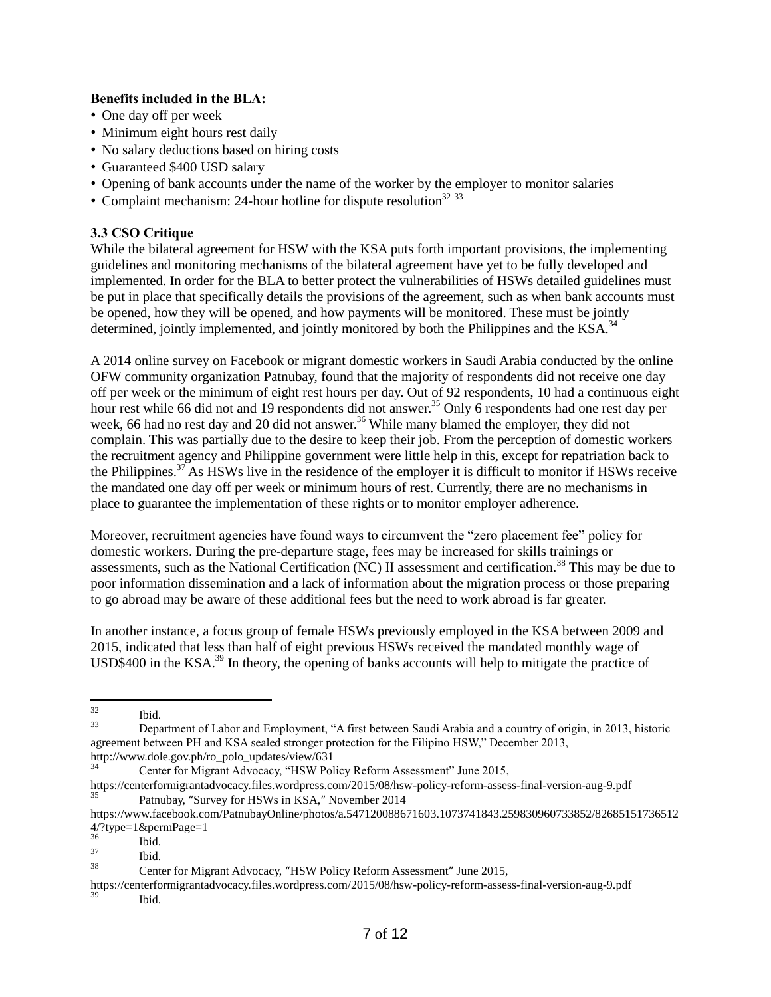#### **Benefits included in the BLA:**

- One day off per week
- Minimum eight hours rest daily
- No salary deductions based on hiring costs
- Guaranteed \$400 USD salary
- Opening of bank accounts under the name of the worker by the employer to monitor salaries
- Complaint mechanism: 24-hour hotline for dispute resolution<sup>32 33</sup>

#### **3.3 CSO Critique**

While the bilateral agreement for HSW with the KSA puts forth important provisions, the implementing guidelines and monitoring mechanisms of the bilateral agreement have yet to be fully developed and implemented. In order for the BLA to better protect the vulnerabilities of HSWs detailed guidelines must be put in place that specifically details the provisions of the agreement, such as when bank accounts must be opened, how they will be opened, and how payments will be monitored. These must be jointly determined, jointly implemented, and jointly monitored by both the Philippines and the KSA.<sup>34</sup>

A 2014 online survey on Facebook or migrant domestic workers in Saudi Arabia conducted by the online OFW community organization Patnubay, found that the majority of respondents did not receive one day off per week or the minimum of eight rest hours per day. Out of 92 respondents, 10 had a continuous eight hour rest while 66 did not and 19 respondents did not answer.<sup>35</sup> Only 6 respondents had one rest day per week, 66 had no rest day and 20 did not answer.<sup>36</sup> While many blamed the employer, they did not complain. This was partially due to the desire to keep their job. From the perception of domestic workers the recruitment agency and Philippine government were little help in this, except for repatriation back to the Philippines.<sup>37</sup> As HSWs live in the residence of the employer it is difficult to monitor if HSWs receive the mandated one day off per week or minimum hours of rest. Currently, there are no mechanisms in place to guarantee the implementation of these rights or to monitor employer adherence.

Moreover, recruitment agencies have found ways to circumvent the "zero placement fee" policy for domestic workers. During the pre-departure stage, fees may be increased for skills trainings or assessments, such as the National Certification (NC) II assessment and certification.<sup>38</sup> This may be due to poor information dissemination and a lack of information about the migration process or those preparing to go abroad may be aware of these additional fees but the need to work abroad is far greater.

In another instance, a focus group of female HSWs previously employed in the KSA between 2009 and 2015, indicated that less than half of eight previous HSWs received the mandated monthly wage of USD\$400 in the KSA.<sup>39</sup> In theory, the opening of banks accounts will help to mitigate the practice of

<https://centerformigrantadvocacy.files.wordpress.com/2015/08/hsw-policy-reform-assess-final-version-aug-9.pdf> Patnubay, "Survey for HSWs in KSA," November 2014

 $32$  $\frac{32}{33}$  Ibid.

<sup>33</sup> Department of Labor and Employment, "A first between Saudi Arabia and a country of origin, in 2013, historic agreement between PH and KSA sealed stronger protection for the Filipino HSW," December 2013, [http://www.dole.gov.ph/ro\\_polo\\_updates/view/631](http://www.dole.gov.ph/ro_polo_updates/view/631)

<sup>34</sup> Center for Migrant Advocacy, "HSW Policy Reform Assessment" June 2015,

[https://www.facebook.com/PatnubayOnline/photos/a.547120088671603.1073741843.259830960733852/82685151736512](https://www.facebook.com/PatnubayOnline/photos/a.547120088671603.1073741843.259830960733852/826851517365124/?type=1&permPage=1) [4/?type=1&permPage=1](https://www.facebook.com/PatnubayOnline/photos/a.547120088671603.1073741843.259830960733852/826851517365124/?type=1&permPage=1)

 $rac{36}{37}$  Ibid.

 $rac{37}{38}$  Ibid.

<sup>38</sup> Center for Migrant Advocacy, "HSW Policy Reform Assessment" June 2015,

<https://centerformigrantadvocacy.files.wordpress.com/2015/08/hsw-policy-reform-assess-final-version-aug-9.pdf> Ibid.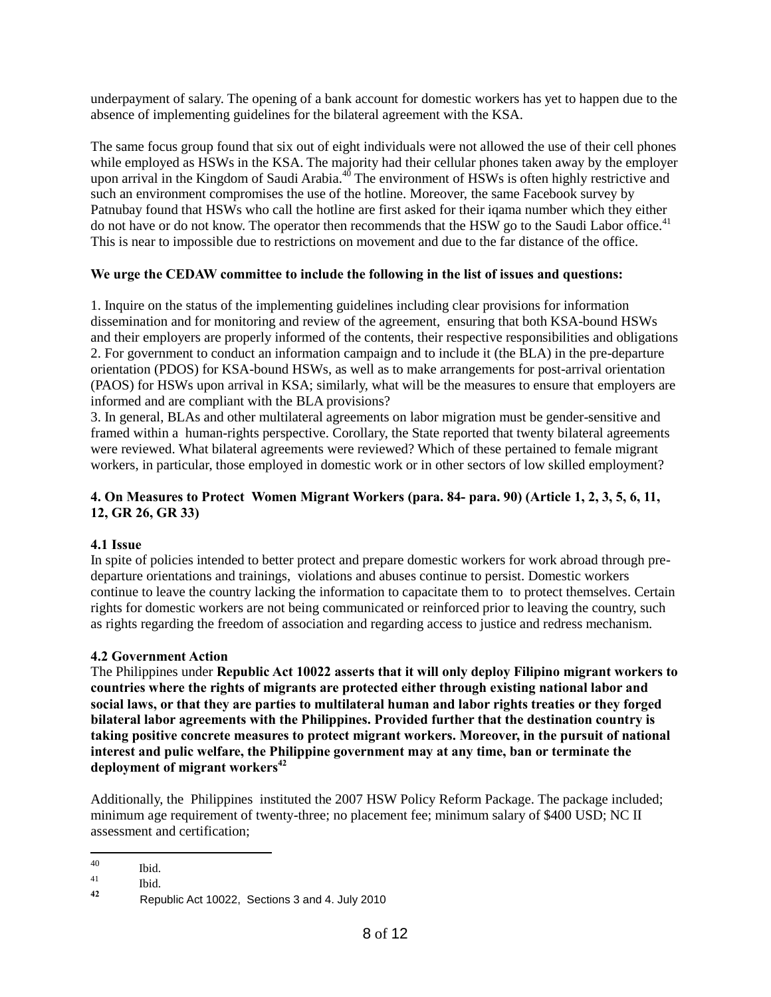underpayment of salary. The opening of a bank account for domestic workers has yet to happen due to the absence of implementing guidelines for the bilateral agreement with the KSA.

The same focus group found that six out of eight individuals were not allowed the use of their cell phones while employed as HSWs in the KSA. The majority had their cellular phones taken away by the employer upon arrival in the Kingdom of Saudi Arabia.<sup>40</sup> The environment of HSWs is often highly restrictive and such an environment compromises the use of the hotline. Moreover, the same Facebook survey by Patnubay found that HSWs who call the hotline are first asked for their iqama number which they either do not have or do not know. The operator then recommends that the HSW go to the Saudi Labor office.<sup>41</sup> This is near to impossible due to restrictions on movement and due to the far distance of the office.

## **We urge the CEDAW committee to include the following in the list of issues and questions:**

1. Inquire on the status of the implementing guidelines including clear provisions for information dissemination and for monitoring and review of the agreement, ensuring that both KSA-bound HSWs and their employers are properly informed of the contents, their respective responsibilities and obligations 2. For government to conduct an information campaign and to include it (the BLA) in the pre-departure orientation (PDOS) for KSA-bound HSWs, as well as to make arrangements for post-arrival orientation (PAOS) for HSWs upon arrival in KSA; similarly, what will be the measures to ensure that employers are informed and are compliant with the BLA provisions?

3. In general, BLAs and other multilateral agreements on labor migration must be gender-sensitive and framed within a human-rights perspective. Corollary, the State reported that twenty bilateral agreements were reviewed. What bilateral agreements were reviewed? Which of these pertained to female migrant workers, in particular, those employed in domestic work or in other sectors of low skilled employment?

## **4. On Measures to Protect Women Migrant Workers (para. 84- para. 90) (Article 1, 2, 3, 5, 6, 11, 12, GR 26, GR 33)**

## **4.1 Issue**

In spite of policies intended to better protect and prepare domestic workers for work abroad through predeparture orientations and trainings, violations and abuses continue to persist. Domestic workers continue to leave the country lacking the information to capacitate them to to protect themselves. Certain rights for domestic workers are not being communicated or reinforced prior to leaving the country, such as rights regarding the freedom of association and regarding access to justice and redress mechanism.

## **4.2 Government Action**

The Philippines under **Republic Act 10022 asserts that it will only deploy Filipino migrant workers to countries where the rights of migrants are protected either through existing national labor and social laws, or that they are parties to multilateral human and labor rights treaties or they forged bilateral labor agreements with the Philippines. Provided further that the destination country is taking positive concrete measures to protect migrant workers. Moreover, in the pursuit of national interest and pulic welfare, the Philippine government may at any time, ban or terminate the deployment of migrant workers<sup>42</sup>** 

Additionally, the Philippines instituted the 2007 HSW Policy Reform Package. The package included; minimum age requirement of twenty-three; no placement fee; minimum salary of \$400 USD; NC II assessment and certification;

<sup>40</sup>  $^{40}$  Ibid.

 $\begin{array}{ccc} 41 & & \text{Ibid.} \\ 42 & & \text{D.} \end{array}$ 

**<sup>42</sup>** Republic Act 10022, Sections 3 and 4. July 2010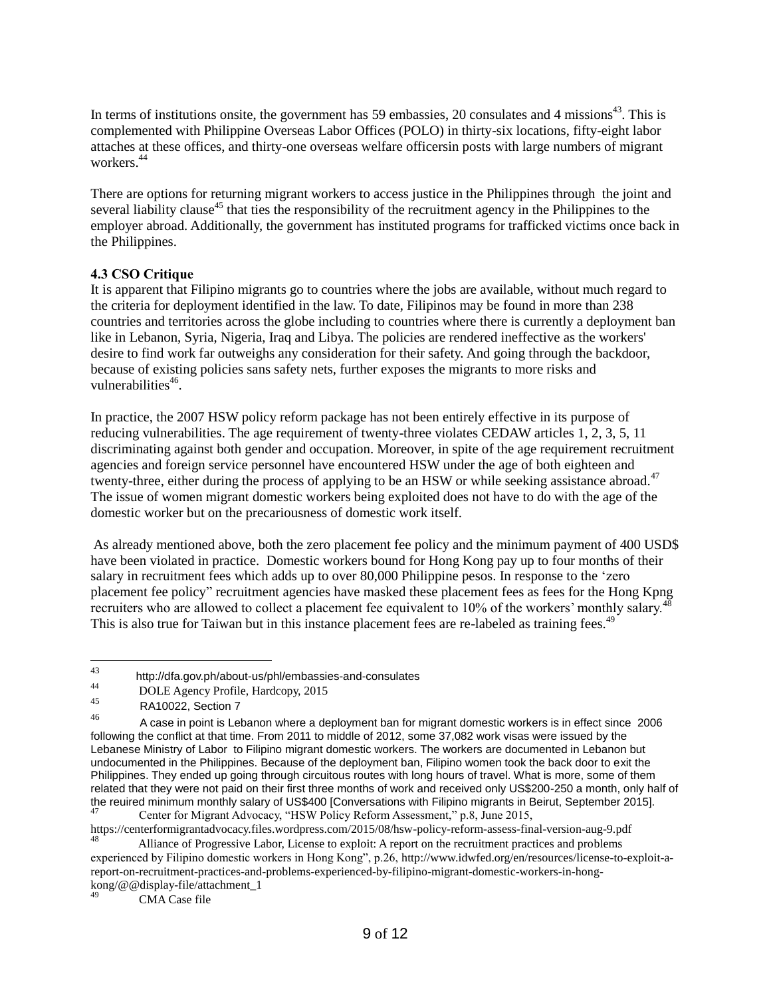In terms of institutions onsite, the government has 59 embassies, 20 consulates and 4 missions<sup>43</sup>. This is complemented with Philippine Overseas Labor Offices (POLO) in thirty-six locations, fifty-eight labor attaches at these offices, and thirty-one overseas welfare officersin posts with large numbers of migrant workers.<sup>44</sup>

There are options for returning migrant workers to access justice in the Philippines through the joint and several liability clause<sup>45</sup> that ties the responsibility of the recruitment agency in the Philippines to the employer abroad. Additionally, the government has instituted programs for trafficked victims once back in the Philippines.

#### **4.3 CSO Critique**

It is apparent that Filipino migrants go to countries where the jobs are available, without much regard to the criteria for deployment identified in the law. To date, Filipinos may be found in more than 238 countries and territories across the globe including to countries where there is currently a deployment ban like in Lebanon, Syria, Nigeria, Iraq and Libya. The policies are rendered ineffective as the workers' desire to find work far outweighs any consideration for their safety. And going through the backdoor, because of existing policies sans safety nets, further exposes the migrants to more risks and vulnerabilities<sup>46</sup>.

In practice, the 2007 HSW policy reform package has not been entirely effective in its purpose of reducing vulnerabilities. The age requirement of twenty-three violates CEDAW articles 1, 2, 3, 5, 11 discriminating against both gender and occupation. Moreover, in spite of the age requirement recruitment agencies and foreign service personnel have encountered HSW under the age of both eighteen and twenty-three, either during the process of applying to be an HSW or while seeking assistance abroad.<sup>47</sup> The issue of women migrant domestic workers being exploited does not have to do with the age of the domestic worker but on the precariousness of domestic work itself.

As already mentioned above, both the zero placement fee policy and the minimum payment of 400 USD\$ have been violated in practice. Domestic workers bound for Hong Kong pay up to four months of their salary in recruitment fees which adds up to over 80,000 Philippine pesos. In response to the 'zero placement fee policy" recruitment agencies have masked these placement fees as fees for the Hong Kpng recruiters who are allowed to collect a placement fee equivalent to 10% of the workers' monthly salary.<sup>4</sup> This is also true for Taiwan but in this instance placement fees are re-labeled as training fees.<sup>49</sup>

CMA Case file

<sup>43</sup> 43 http://dfa.gov.ph/about-us/phl/embassies-and-consulates

<sup>44</sup> DOLE Agency Profile, Hardcopy, 2015

 $^{45}$  RA10022, Section 7

<sup>46</sup> A case in point is Lebanon where a deployment ban for migrant domestic workers is in effect since 2006 following the conflict at that time. From 2011 to middle of 2012, some 37,082 work visas were issued by the Lebanese Ministry of Labor to Filipino migrant domestic workers. The workers are documented in Lebanon but undocumented in the Philippines. Because of the deployment ban, Filipino women took the back door to exit the Philippines. They ended up going through circuitous routes with long hours of travel. What is more, some of them related that they were not paid on their first three months of work and received only US\$200-250 a month, only half of the reuired minimum monthly salary of US\$400 [Conversations with Filipino migrants in Beirut, September 2015]. Center for Migrant Advocacy, "HSW Policy Reform Assessment," p.8, June 2015,

<https://centerformigrantadvocacy.files.wordpress.com/2015/08/hsw-policy-reform-assess-final-version-aug-9.pdf> <sup>48</sup> Alliance of Progressive Labor, License to exploit: A report on the recruitment practices and problems

experienced by Filipino domestic workers in Hong Kong", p.26, [http://www.idwfed.org/en/resources/license-to-exploit-a](http://www.idwfed.org/en/resources/license-to-exploit-a-report-on-recruitment-practices-and-problems-experienced-by-filipino-migrant-domestic-workers-in-hong-kong/@@display-file/attachment_1)[report-on-recruitment-practices-and-problems-experienced-by-filipino-migrant-domestic-workers-in-hong](http://www.idwfed.org/en/resources/license-to-exploit-a-report-on-recruitment-practices-and-problems-experienced-by-filipino-migrant-domestic-workers-in-hong-kong/@@display-file/attachment_1)[kong/@@display-file/attachment\\_1](http://www.idwfed.org/en/resources/license-to-exploit-a-report-on-recruitment-practices-and-problems-experienced-by-filipino-migrant-domestic-workers-in-hong-kong/@@display-file/attachment_1)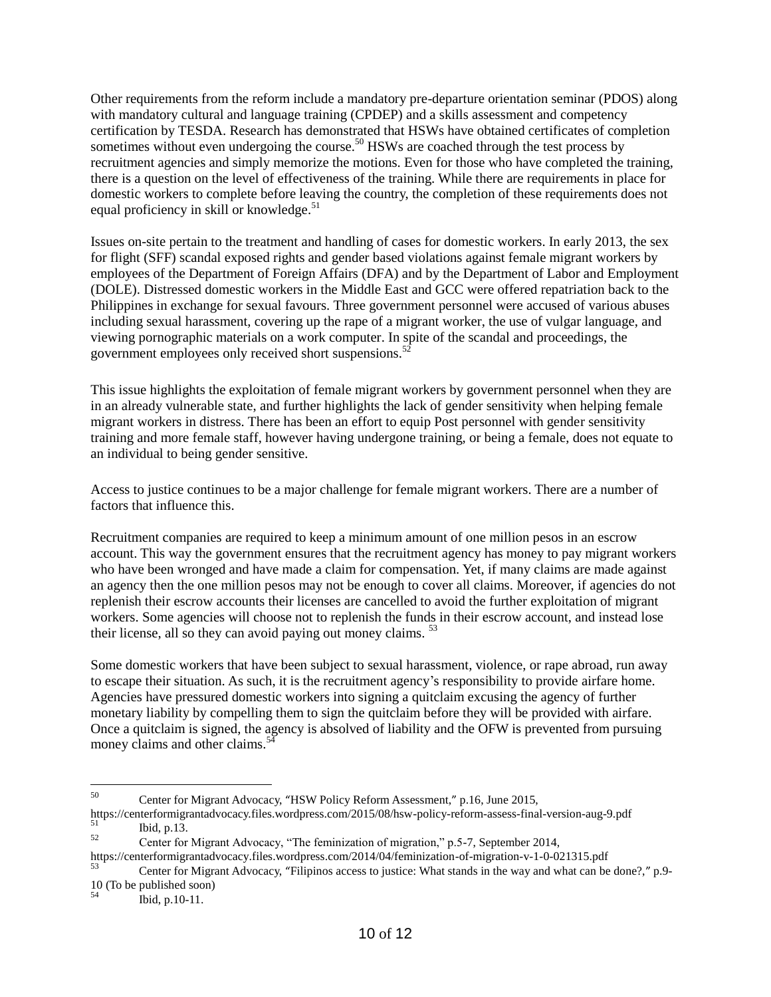Other requirements from the reform include a mandatory pre-departure orientation seminar (PDOS) along with mandatory cultural and language training (CPDEP) and a skills assessment and competency certification by TESDA. Research has demonstrated that HSWs have obtained certificates of completion sometimes without even undergoing the course.<sup>50</sup> HSWs are coached through the test process by recruitment agencies and simply memorize the motions. Even for those who have completed the training, there is a question on the level of effectiveness of the training. While there are requirements in place for domestic workers to complete before leaving the country, the completion of these requirements does not equal proficiency in skill or knowledge. $51$ 

Issues on-site pertain to the treatment and handling of cases for domestic workers. In early 2013, the sex for flight (SFF) scandal exposed rights and gender based violations against female migrant workers by employees of the Department of Foreign Affairs (DFA) and by the Department of Labor and Employment (DOLE). Distressed domestic workers in the Middle East and GCC were offered repatriation back to the Philippines in exchange for sexual favours. Three government personnel were accused of various abuses including sexual harassment, covering up the rape of a migrant worker, the use of vulgar language, and viewing pornographic materials on a work computer. In spite of the scandal and proceedings, the government employees only received short suspensions. $52$ 

This issue highlights the exploitation of female migrant workers by government personnel when they are in an already vulnerable state, and further highlights the lack of gender sensitivity when helping female migrant workers in distress. There has been an effort to equip Post personnel with gender sensitivity training and more female staff, however having undergone training, or being a female, does not equate to an individual to being gender sensitive.

Access to justice continues to be a major challenge for female migrant workers. There are a number of factors that influence this.

Recruitment companies are required to keep a minimum amount of one million pesos in an escrow account. This way the government ensures that the recruitment agency has money to pay migrant workers who have been wronged and have made a claim for compensation. Yet, if many claims are made against an agency then the one million pesos may not be enough to cover all claims. Moreover, if agencies do not replenish their escrow accounts their licenses are cancelled to avoid the further exploitation of migrant workers. Some agencies will choose not to replenish the funds in their escrow account, and instead lose their license, all so they can avoid paying out money claims.<sup>53</sup>

Some domestic workers that have been subject to sexual harassment, violence, or rape abroad, run away to escape their situation. As such, it is the recruitment agency's responsibility to provide airfare home. Agencies have pressured domestic workers into signing a quitclaim excusing the agency of further monetary liability by compelling them to sign the quitclaim before they will be provided with airfare. Once a quitclaim is signed, the agency is absolved of liability and the OFW is prevented from pursuing money claims and other claims. $54$ 

<sup>50</sup> <sup>50</sup> Center for Migrant Advocacy, "HSW Policy Reform Assessment," p.16, June 2015,

<https://centerformigrantadvocacy.files.wordpress.com/2015/08/hsw-policy-reform-assess-final-version-aug-9.pdf>  $\begin{array}{ccc} 51 & \text{Ibid, p.13.} \\ 52 & \text{Gutor for} \end{array}$ 

<sup>52</sup> Center for Migrant Advocacy, "The feminization of migration," p.5-7, September 2014,

<https://centerformigrantadvocacy.files.wordpress.com/2014/04/feminization-of-migration-v-1-0-021315.pdf>

Center for Migrant Advocacy, "Filipinos access to justice: What stands in the way and what can be done?," p.9-10 (To be published soon)

Ibid, p.10-11.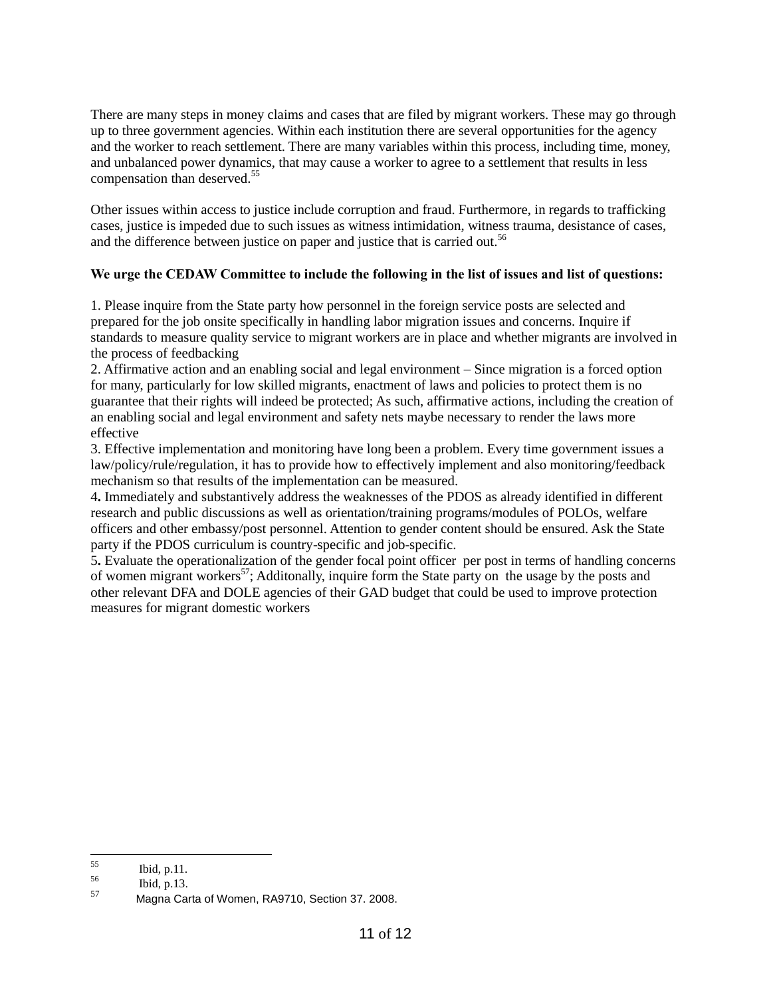There are many steps in money claims and cases that are filed by migrant workers. These may go through up to three government agencies. Within each institution there are several opportunities for the agency and the worker to reach settlement. There are many variables within this process, including time, money, and unbalanced power dynamics, that may cause a worker to agree to a settlement that results in less compensation than deserved.<sup>55</sup>

Other issues within access to justice include corruption and fraud. Furthermore, in regards to trafficking cases, justice is impeded due to such issues as witness intimidation, witness trauma, desistance of cases, and the difference between justice on paper and justice that is carried out.<sup>56</sup>

## **We urge the CEDAW Committee to include the following in the list of issues and list of questions:**

1. Please inquire from the State party how personnel in the foreign service posts are selected and prepared for the job onsite specifically in handling labor migration issues and concerns. Inquire if standards to measure quality service to migrant workers are in place and whether migrants are involved in the process of feedbacking

2. Affirmative action and an enabling social and legal environment – Since migration is a forced option for many, particularly for low skilled migrants, enactment of laws and policies to protect them is no guarantee that their rights will indeed be protected; As such, affirmative actions, including the creation of an enabling social and legal environment and safety nets maybe necessary to render the laws more effective

3. Effective implementation and monitoring have long been a problem. Every time government issues a law/policy/rule/regulation, it has to provide how to effectively implement and also monitoring/feedback mechanism so that results of the implementation can be measured.

4**.** Immediately and substantively address the weaknesses of the PDOS as already identified in different research and public discussions as well as orientation/training programs/modules of POLOs, welfare officers and other embassy/post personnel. Attention to gender content should be ensured. Ask the State party if the PDOS curriculum is country-specific and job-specific.

5**.** Evaluate the operationalization of the gender focal point officer per post in terms of handling concerns of women migrant workers<sup>57</sup>; Additonally, inquire form the State party on the usage by the posts and other relevant DFA and DOLE agencies of their GAD budget that could be used to improve protection measures for migrant domestic workers

<sup>55</sup>  $\frac{55}{56}$  Ibid, p.11.

 $\frac{56}{57}$  Ibid, p.13.

Magna Carta of Women, RA9710, Section 37. 2008.